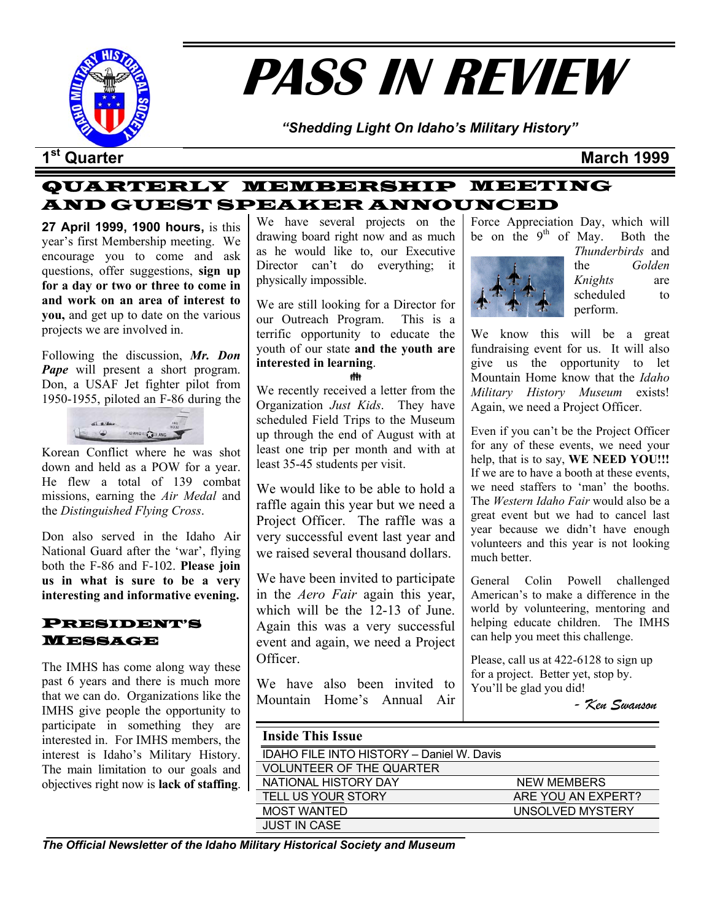

# **PASS IN REVIEW**

*"Shedding Light On Idaho's Military History"* 

#### **1st Quarter March 1999**

#### QUARTERLY MEMBERSHIP MEETING AND GUEST SPEAKER ANNOUNCED

**27 April 1999, 1900 hours,** is this year's first Membership meeting. We encourage you to come and ask questions, offer suggestions, **sign up for a day or two or three to come in and work on an area of interest to you,** and get up to date on the various projects we are involved in.

Following the discussion, *Mr. Don Pape* will present a short program. Don, a USAF Jet fighter pilot from 1950-1955, piloted an F-86 during the



Korean Conflict where he was shot down and held as a POW for a year. He flew a total of 139 combat missions, earning the *Air Medal* and the *Distinguished Flying Cross*.

Don also served in the Idaho Air National Guard after the 'war', flying both the F-86 and F-102. **Please join us in what is sure to be a very interesting and informative evening.** 

#### PRESIDENT'S MESSAGE

The IMHS has come along way these past 6 years and there is much more that we can do. Organizations like the IMHS give people the opportunity to participate in something they are interested in. For IMHS members, the interest is Idaho's Military History. The main limitation to our goals and objectives right now is **lack of staffing**. We have several projects on the drawing board right now and as much as he would like to, our Executive Director can't do everything; it physically impossible.

We are still looking for a Director for our Outreach Program. This is a terrific opportunity to educate the youth of our state **and the youth are interested in learning**. ŧİ

We recently received a letter from the Organization *Just Kids*. They have scheduled Field Trips to the Museum up through the end of August with at least one trip per month and with at least 35-45 students per visit.

We would like to be able to hold a raffle again this year but we need a Project Officer. The raffle was a very successful event last year and we raised several thousand dollars.

We have been invited to participate in the *Aero Fair* again this year, which will be the 12-13 of June. Again this was a very successful event and again, we need a Project **Officer** 

We have also been invited to Mountain Home's Annual Air

Force Appreciation Day, which will be on the  $9<sup>th</sup>$  of May. Both the



*Thunderbirds* and the *Golden Knights* are scheduled to perform.

We know this will be a great fundraising event for us. It will also give us the opportunity to let Mountain Home know that the *Idaho Military History Museum* exists! Again, we need a Project Officer.

Even if you can't be the Project Officer for any of these events, we need your help, that is to say, **WE NEED YOU!!!** If we are to have a booth at these events, we need staffers to 'man' the booths. The *Western Idaho Fair* would also be a great event but we had to cancel last year because we didn't have enough volunteers and this year is not looking much better.

General Colin Powell challenged American's to make a difference in the world by volunteering, mentoring and helping educate children. The IMHS can help you meet this challenge.

Please, call us at 422-6128 to sign up for a project. Better yet, stop by. You'll be glad you did!

*- Ken Swanson*

| <b>Inside This Issue</b>                  |                    |
|-------------------------------------------|--------------------|
| IDAHO FILE INTO HISTORY - Daniel W. Davis |                    |
| <b>VOLUNTEER OF THE QUARTER</b>           |                    |
| NATIONAL HISTORY DAY                      | <b>NEW MEMBERS</b> |
| <b>TELL US YOUR STORY</b>                 | ARE YOU AN EXPERT? |
| <b>MOST WANTED</b>                        | UNSOLVED MYSTERY   |
| <b>JUST IN CASE</b>                       |                    |

*The Official Newsletter of the Idaho Military Historical Society and Museum*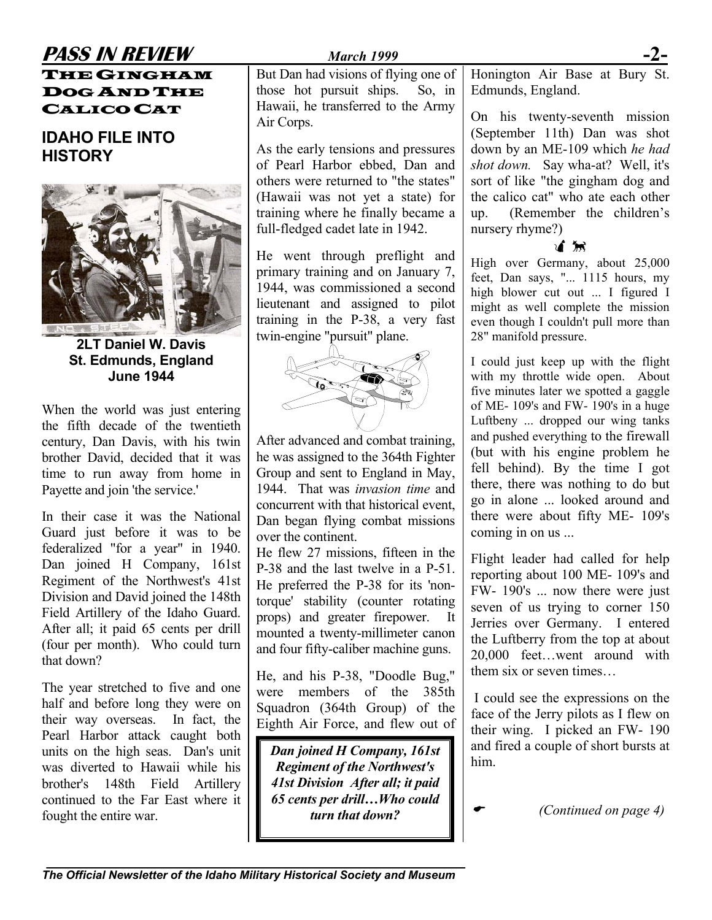#### **PASS IN REVIEW** *March 1999* **-2-** THE GINGHAM

DOG AND THE CALICO CAT

**IDAHO FILE INTO HISTORY**



**2LT Daniel W. Davis St. Edmunds, England June 1944** 

When the world was just entering the fifth decade of the twentieth century, Dan Davis, with his twin brother David, decided that it was time to run away from home in Payette and join 'the service.'

In their case it was the National Guard just before it was to be federalized "for a year" in 1940. Dan joined H Company, 161st Regiment of the Northwest's 41st Division and David joined the 148th Field Artillery of the Idaho Guard. After all; it paid 65 cents per drill (four per month). Who could turn that down?

The year stretched to five and one half and before long they were on their way overseas. In fact, the Pearl Harbor attack caught both units on the high seas. Dan's unit was diverted to Hawaii while his brother's 148th Field Artillery continued to the Far East where it fought the entire war.

But Dan had visions of flying one of those hot pursuit ships. So, in Hawaii, he transferred to the Army Air Corps.

As the early tensions and pressures of Pearl Harbor ebbed, Dan and others were returned to "the states" (Hawaii was not yet a state) for training where he finally became a full-fledged cadet late in 1942.

He went through preflight and primary training and on January 7, 1944, was commissioned a second lieutenant and assigned to pilot training in the P-38, a very fast twin-engine "pursuit" plane.



After advanced and combat training, he was assigned to the 364th Fighter Group and sent to England in May, 1944. That was *invasion time* and concurrent with that historical event, Dan began flying combat missions over the continent.

He flew 27 missions, fifteen in the P-38 and the last twelve in a P-51. He preferred the P-38 for its 'nontorque' stability (counter rotating props) and greater firepower. It mounted a twenty-millimeter canon and four fifty-caliber machine guns.

He, and his P-38, "Doodle Bug," were members of the 385th Squadron (364th Group) of the Eighth Air Force, and flew out of

*Dan joined H Company, 161st Regiment of the Northwest's 41st Division After all; it paid 65 cents per drill…Who could turn that down?* 

Honington Air Base at Bury St. Edmunds, England.

On his twenty-seventh mission (September 11th) Dan was shot down by an ME-109 which *he had shot down.* Say wha-at? Well, it's sort of like "the gingham dog and the calico cat" who ate each other up. (Remember the children's nursery rhyme?)

#### Ø×

High over Germany, about 25,000 feet, Dan says, "... 1115 hours, my high blower cut out ... I figured I might as well complete the mission even though I couldn't pull more than 28" manifold pressure.

I could just keep up with the flight with my throttle wide open. About five minutes later we spotted a gaggle of ME- 109's and FW- 190's in a huge Luftbeny ... dropped our wing tanks and pushed everything to the firewall (but with his engine problem he fell behind). By the time I got there, there was nothing to do but go in alone ... looked around and there were about fifty ME- 109's coming in on us ...

Flight leader had called for help reporting about 100 ME- 109's and FW- 190's ... now there were just seven of us trying to corner 150 Jerries over Germany. I entered the Luftberry from the top at about 20,000 feet…went around with them six or seven times…

I could see the expressions on the face of the Jerry pilots as I flew on their wing. I picked an FW- 190 and fired a couple of short bursts at him.

 $\overline{\phantom{a}}$ 

*(Continued on page 4)*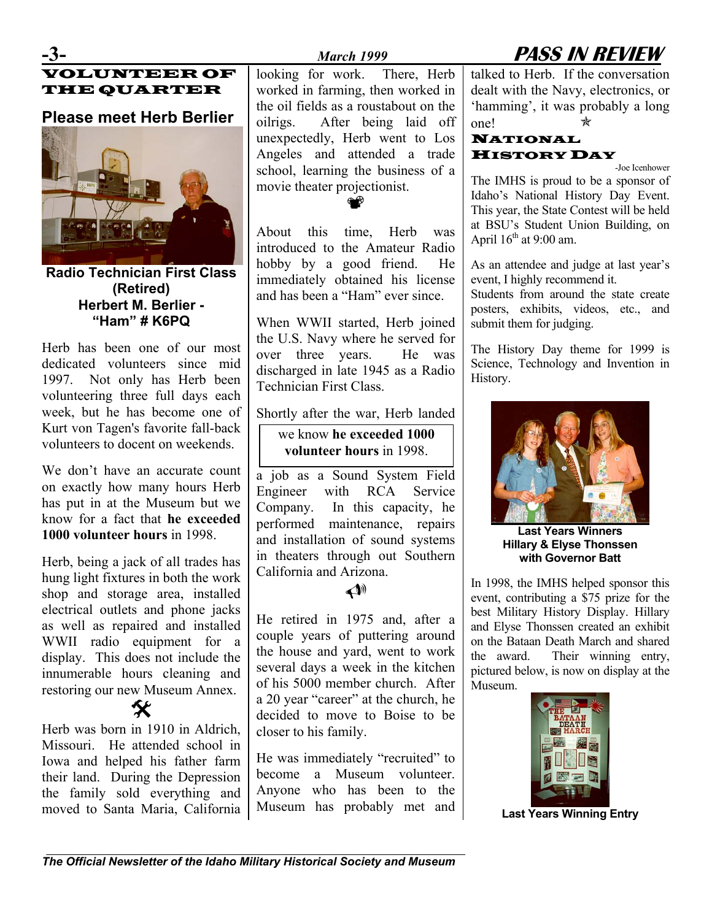### **-3-** *March 1999* **PASS IN REVIEW**

#### VOLUNTEER OF THE QUARTER

#### **Please meet Herb Berlier**



**Radio Technician First Class (Retired) Herbert M. Berlier - "Ham" # K6PQ** 

Herb has been one of our most dedicated volunteers since mid 1997. Not only has Herb been volunteering three full days each week, but he has become one of Kurt von Tagen's favorite fall-back volunteers to docent on weekends.

We don't have an accurate count on exactly how many hours Herb has put in at the Museum but we know for a fact that **he exceeded 1000 volunteer hours** in 1998.

Herb, being a jack of all trades has hung light fixtures in both the work shop and storage area, installed electrical outlets and phone jacks as well as repaired and installed WWII radio equipment for a display. This does not include the innumerable hours cleaning and restoring our new Museum Annex.

 $\boldsymbol{\mathsf{X}}$ Herb was born in 1910 in Aldrich, Missouri. He attended school in Iowa and helped his father farm their land. During the Depression the family sold everything and moved to Santa Maria, California looking for work. There, Herb worked in farming, then worked in the oil fields as a roustabout on the oilrigs. After being laid off unexpectedly, Herb went to Los Angeles and attended a trade school, learning the business of a movie theater projectionist.

About this time, Herb was introduced to the Amateur Radio hobby by a good friend. He immediately obtained his license and has been a "Ham" ever since.

⊕⊕

When WWII started, Herb joined the U.S. Navy where he served for over three years. He was discharged in late 1945 as a Radio Technician First Class.

Shortly after the war, Herb landed

#### we know **he exceeded 1000 volunteer hours** in 1998.

a job as a Sound System Field Engineer with RCA Service Company. In this capacity, he performed maintenance, repairs and installation of sound systems in theaters through out Southern California and Arizona.

#### $\blacktriangle$

He retired in 1975 and, after a couple years of puttering around the house and yard, went to work several days a week in the kitchen of his 5000 member church. After a 20 year "career" at the church, he decided to move to Boise to be closer to his family.

He was immediately "recruited" to become a Museum volunteer. Anyone who has been to the Museum has probably met and

talked to Herb. If the conversation dealt with the Navy, electronics, or 'hamming', it was probably a long one!  $\star$ 

#### NATIONAL HISTORYDAY

-Joe Icenhower The IMHS is proud to be a sponsor of Idaho's National History Day Event. This year, the State Contest will be held at BSU's Student Union Building, on April  $16^{th}$  at 9:00 am.

As an attendee and judge at last year's event, I highly recommend it.

Students from around the state create posters, exhibits, videos, etc., and submit them for judging.

The History Day theme for 1999 is Science, Technology and Invention in History.



**Last Years Winners Hillary & Elyse Thonssen with Governor Batt** 

In 1998, the IMHS helped sponsor this event, contributing a \$75 prize for the best Military History Display. Hillary and Elyse Thonssen created an exhibit on the Bataan Death March and shared the award. Their winning entry, pictured below, is now on display at the Museum.



**Last Years Winning Entry**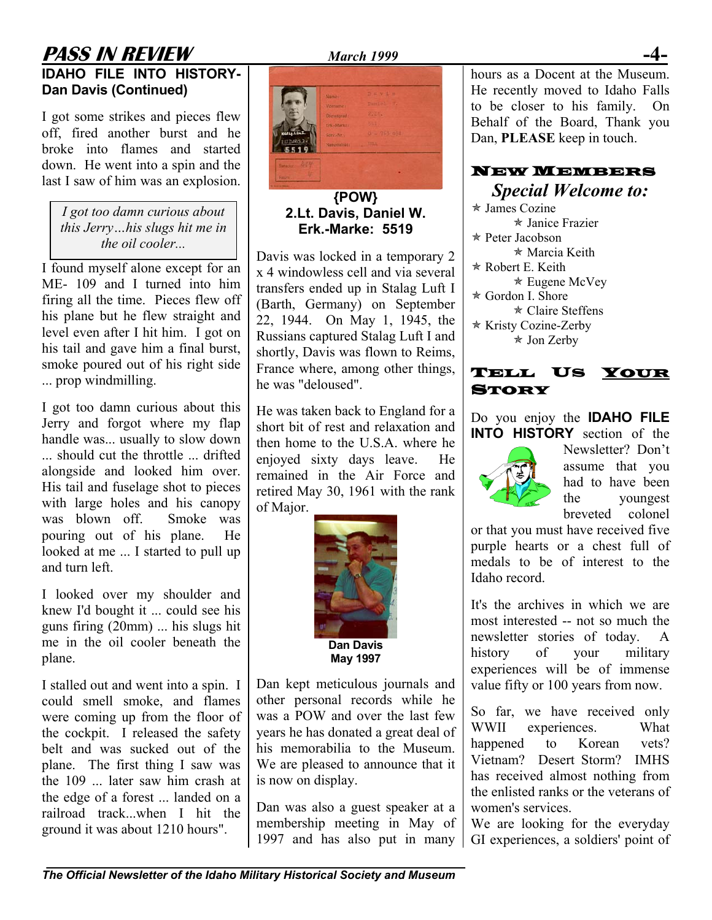#### **PASS IN REVIEW** *March 1999* **IDAHO FILE INTO HISTORY-**

# **Dan Davis (Continued)**

I got some strikes and pieces flew off, fired another burst and he broke into flames and started down. He went into a spin and the last I saw of him was an explosion.

*I got too damn curious about this Jerry…his slugs hit me in the oil cooler...*

I found myself alone except for an ME- 109 and I turned into him firing all the time. Pieces flew off his plane but he flew straight and level even after I hit him. I got on his tail and gave him a final burst, smoke poured out of his right side ... prop windmilling.

I got too damn curious about this Jerry and forgot where my flap handle was... usually to slow down ... should cut the throttle ... drifted alongside and looked him over. His tail and fuselage shot to pieces with large holes and his canopy was blown off. Smoke was pouring out of his plane. He looked at me ... I started to pull up and turn left.

I looked over my shoulder and knew I'd bought it ... could see his guns firing (20mm) ... his slugs hit me in the oil cooler beneath the plane.

I stalled out and went into a spin. I could smell smoke, and flames were coming up from the floor of the cockpit. I released the safety belt and was sucked out of the plane. The first thing I saw was the 109 ... later saw him crash at the edge of a forest ... landed on a railroad track...when I hit the ground it was about 1210 hours".



**{POW} 2.Lt. Davis, Daniel W. Erk.-Marke: 5519** 

Davis was locked in a temporary 2 x 4 windowless cell and via several transfers ended up in Stalag Luft I (Barth, Germany) on September 22, 1944. On May 1, 1945, the Russians captured Stalag Luft I and shortly, Davis was flown to Reims, France where, among other things, he was "deloused".

He was taken back to England for a short bit of rest and relaxation and then home to the U.S.A. where he enjoyed sixty days leave. He remained in the Air Force and retired May 30, 1961 with the rank of Major.



Dan kept meticulous journals and other personal records while he was a POW and over the last few years he has donated a great deal of his memorabilia to the Museum. We are pleased to announce that it is now on display.

Dan was also a guest speaker at a membership meeting in May of 1997 and has also put in many hours as a Docent at the Museum. He recently moved to Idaho Falls to be closer to his family. On Behalf of the Board, Thank you Dan, **PLEASE** keep in touch.

## NEW MEMBERS

*Special Welcome to:*  $\star$  James Cozine \* Janice Frazier \* Peter Jacobson  $*$  Marcia Keith  $*$  Robert E. Keith  $\star$  Eugene McVey  $\star$  Gordon I. Shore  $\star$  Claire Steffens \* Kristy Cozine-Zerby  $\star$  Jon Zerby



Do you enjoy the **IDAHO FILE INTO HISTORY** section of the



Newsletter? Don't assume that you had to have been the youngest breveted colonel

or that you must have received five purple hearts or a chest full of medals to be of interest to the Idaho record.

It's the archives in which we are most interested -- not so much the newsletter stories of today. A history of your military experiences will be of immense value fifty or 100 years from now.

So far, we have received only WWII experiences. What happened to Korean vets? Vietnam? Desert Storm? IMHS has received almost nothing from the enlisted ranks or the veterans of women's services.

We are looking for the everyday GI experiences, a soldiers' point of

*The Official Newsletter of the Idaho Military Historical Society and Museum*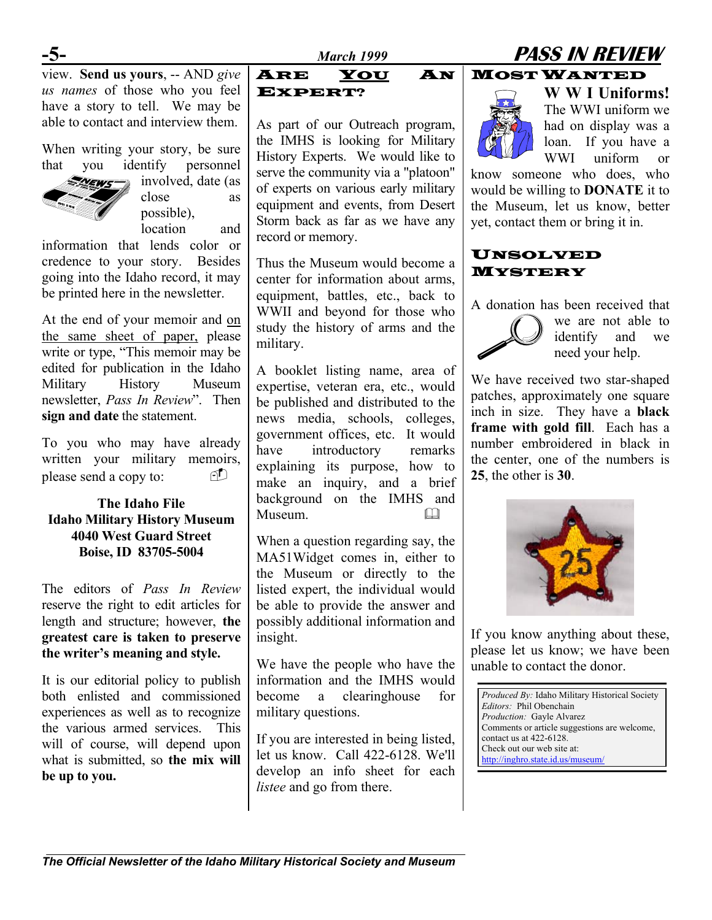### **-5-** *March 1999* **PASS IN REVIEW**

view. **Send us yours**, -- AND *give us names* of those who you feel have a story to tell. We may be able to contact and interview them.

When writing your story, be sure that you identify personnel



involved, date (as close as possible), location and

information that lends color or credence to your story. Besides going into the Idaho record, it may be printed here in the newsletter.

At the end of your memoir and on the same sheet of paper, please write or type, "This memoir may be edited for publication in the Idaho Military History Museum newsletter, *Pass In Review*". Then **sign and date** the statement.

To you who may have already written your military memoirs, please send a copy to:

#### **The Idaho File Idaho Military History Museum 4040 West Guard Street Boise, ID 83705-5004**

The editors of *Pass In Review* reserve the right to edit articles for length and structure; however, **the greatest care is taken to preserve the writer's meaning and style.**

It is our editorial policy to publish both enlisted and commissioned experiences as well as to recognize the various armed services. This will of course, will depend upon what is submitted, so **the mix will be up to you.** 

As part of our Outreach program, the IMHS is looking for Military History Experts. We would like to serve the community via a "platoon" of experts on various early military equipment and events, from Desert Storm back as far as we have any record or memory.

Thus the Museum would become a center for information about arms, equipment, battles, etc., back to WWII and beyond for those who study the history of arms and the military.

A booklet listing name, area of expertise, veteran era, etc., would be published and distributed to the news media, schools, colleges, government offices, etc. It would have introductory remarks explaining its purpose, how to make an inquiry, and a brief background on the IMHS and Museum. 

When a question regarding say, the MA51Widget comes in, either to the Museum or directly to the listed expert, the individual would be able to provide the answer and possibly additional information and insight.

We have the people who have the information and the IMHS would become a clearinghouse for military questions.

If you are interested in being listed, let us know. Call 422-6128. We'll develop an info sheet for each *listee* and go from there.

#### ARE YOU AN MOST WANTED



EXPERT? **W W I Uniforms!** The WWI uniform we had on display was a loan. If you have a WWI uniform or

> know someone who does, who would be willing to **DONATE** it to the Museum, let us know, better yet, contact them or bring it in.

#### UNSOLVED MYSTERY

A donation has been received that



we are not able to identify and we need your help.

We have received two star-shaped patches, approximately one square inch in size. They have a **black frame with gold fill**. Each has a number embroidered in black in the center, one of the numbers is **25**, the other is **30**.



If you know anything about these, please let us know; we have been unable to contact the donor.

*Produced By:* Idaho Military Historical Society *Editors:* Phil Obenchain *Production:* Gayle Alvarez Comments or article suggestions are welcome, contact us at 422-6128. Check out our web site at: <http://inghro.state.id.us/museum/>